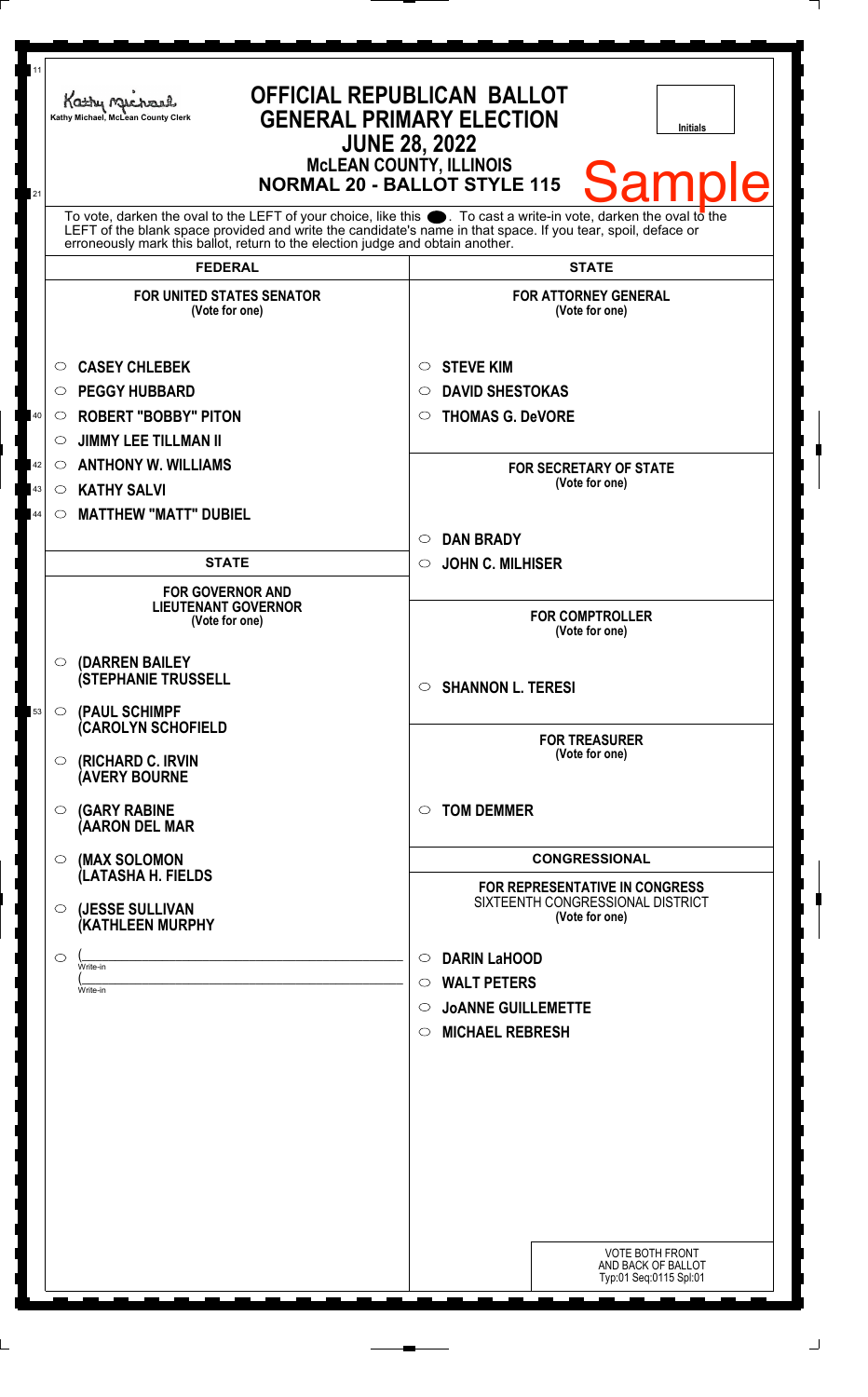| <b>NORMAL 20 - BALLOT STYLE 115</b><br>21<br>To vote, darken the oval to the LEFT of your choice, like this $\bullet$ . To cast a write-in vote, darken the oval to the<br>LEFT of the blank space provided and write the candidate's name in that space. If you tear, spoil, deface or<br>erroneously mark this ballot, return to the election judge and obtain another.<br><b>FEDERAL</b><br><b>STATE</b><br><b>FOR UNITED STATES SENATOR</b><br><b>FOR ATTORNEY GENERAL</b><br>(Vote for one)<br>(Vote for one)<br><b>CASEY CHLEBEK</b><br><b>STEVE KIM</b><br>$\circ$<br>$\circ$<br><b>DAVID SHESTOKAS</b><br><b>PEGGY HUBBARD</b><br>$\circ$<br>O<br><b>ROBERT "BOBBY" PITON</b><br>40<br><b>THOMAS G. DeVORE</b><br>$\circ$<br>O<br><b>JIMMY LEE TILLMAN II</b><br>$\circlearrowright$<br><b>ANTHONY W. WILLIAMS</b><br>42<br>$\circ$<br><b>FOR SECRETARY OF STATE</b><br>(Vote for one)<br><b>KATHY SALVI</b><br>43<br>$\circ$<br><b>MATTHEW "MATT" DUBIEL</b><br>44<br>$\circ$<br><b>DAN BRADY</b><br>$\circ$<br><b>STATE</b><br><b>JOHN C. MILHISER</b><br>$\circ$<br><b>FOR GOVERNOR AND</b><br><b>LIEUTENANT GOVERNOR</b><br><b>FOR COMPTROLLER</b><br>(Vote for one)<br>(Vote for one)<br>$\circ$ (DARREN BAILEY<br><b>(STEPHANIE TRUSSELL</b><br><b>SHANNON L. TERESI</b><br>$\circ$<br>$\circ$ (PAUL SCHIMPF<br>53<br><b>CAROLYN SCHOFIELD</b><br><b>FOR TREASURER</b><br>(Vote for one)<br>$\circ$ (RICHARD C. IRVIN<br><b>(AVERY BOURNE</b><br><b>TOM DEMMER</b><br>$\circ$ (GARY RABINE<br>◯<br>(AARON DEL MAR<br><b>CONGRESSIONAL</b><br>(MAX SOLOMON<br>$\circ$<br>(LATASHA H. FIELDS<br><b>FOR REPRESENTATIVE IN CONGRESS</b><br>SIXTEENTH CONGRESSIONAL DISTRICT<br>(JESSE SULLIVAN<br>$\circ$<br>(Vote for one)<br>(KATHLEEN MURPHY<br><b>DARIN LaHOOD</b><br>$\circ$<br>$\circ$<br>Write-in<br><b>WALT PETERS</b><br>$\circ$<br>Write-in<br><b>JOANNE GUILLEMETTE</b><br>$\circ$<br><b>MICHAEL REBRESH</b><br>$\circ$ | <b>Initials</b><br><b>Sample</b>                                       |
|----------------------------------------------------------------------------------------------------------------------------------------------------------------------------------------------------------------------------------------------------------------------------------------------------------------------------------------------------------------------------------------------------------------------------------------------------------------------------------------------------------------------------------------------------------------------------------------------------------------------------------------------------------------------------------------------------------------------------------------------------------------------------------------------------------------------------------------------------------------------------------------------------------------------------------------------------------------------------------------------------------------------------------------------------------------------------------------------------------------------------------------------------------------------------------------------------------------------------------------------------------------------------------------------------------------------------------------------------------------------------------------------------------------------------------------------------------------------------------------------------------------------------------------------------------------------------------------------------------------------------------------------------------------------------------------------------------------------------------------------------------------------------------------------------------------------------------------------------------------------------------------------------------------------------------------------|------------------------------------------------------------------------|
|                                                                                                                                                                                                                                                                                                                                                                                                                                                                                                                                                                                                                                                                                                                                                                                                                                                                                                                                                                                                                                                                                                                                                                                                                                                                                                                                                                                                                                                                                                                                                                                                                                                                                                                                                                                                                                                                                                                                              |                                                                        |
|                                                                                                                                                                                                                                                                                                                                                                                                                                                                                                                                                                                                                                                                                                                                                                                                                                                                                                                                                                                                                                                                                                                                                                                                                                                                                                                                                                                                                                                                                                                                                                                                                                                                                                                                                                                                                                                                                                                                              |                                                                        |
|                                                                                                                                                                                                                                                                                                                                                                                                                                                                                                                                                                                                                                                                                                                                                                                                                                                                                                                                                                                                                                                                                                                                                                                                                                                                                                                                                                                                                                                                                                                                                                                                                                                                                                                                                                                                                                                                                                                                              |                                                                        |
|                                                                                                                                                                                                                                                                                                                                                                                                                                                                                                                                                                                                                                                                                                                                                                                                                                                                                                                                                                                                                                                                                                                                                                                                                                                                                                                                                                                                                                                                                                                                                                                                                                                                                                                                                                                                                                                                                                                                              |                                                                        |
|                                                                                                                                                                                                                                                                                                                                                                                                                                                                                                                                                                                                                                                                                                                                                                                                                                                                                                                                                                                                                                                                                                                                                                                                                                                                                                                                                                                                                                                                                                                                                                                                                                                                                                                                                                                                                                                                                                                                              |                                                                        |
|                                                                                                                                                                                                                                                                                                                                                                                                                                                                                                                                                                                                                                                                                                                                                                                                                                                                                                                                                                                                                                                                                                                                                                                                                                                                                                                                                                                                                                                                                                                                                                                                                                                                                                                                                                                                                                                                                                                                              |                                                                        |
|                                                                                                                                                                                                                                                                                                                                                                                                                                                                                                                                                                                                                                                                                                                                                                                                                                                                                                                                                                                                                                                                                                                                                                                                                                                                                                                                                                                                                                                                                                                                                                                                                                                                                                                                                                                                                                                                                                                                              |                                                                        |
|                                                                                                                                                                                                                                                                                                                                                                                                                                                                                                                                                                                                                                                                                                                                                                                                                                                                                                                                                                                                                                                                                                                                                                                                                                                                                                                                                                                                                                                                                                                                                                                                                                                                                                                                                                                                                                                                                                                                              |                                                                        |
|                                                                                                                                                                                                                                                                                                                                                                                                                                                                                                                                                                                                                                                                                                                                                                                                                                                                                                                                                                                                                                                                                                                                                                                                                                                                                                                                                                                                                                                                                                                                                                                                                                                                                                                                                                                                                                                                                                                                              |                                                                        |
|                                                                                                                                                                                                                                                                                                                                                                                                                                                                                                                                                                                                                                                                                                                                                                                                                                                                                                                                                                                                                                                                                                                                                                                                                                                                                                                                                                                                                                                                                                                                                                                                                                                                                                                                                                                                                                                                                                                                              |                                                                        |
|                                                                                                                                                                                                                                                                                                                                                                                                                                                                                                                                                                                                                                                                                                                                                                                                                                                                                                                                                                                                                                                                                                                                                                                                                                                                                                                                                                                                                                                                                                                                                                                                                                                                                                                                                                                                                                                                                                                                              |                                                                        |
|                                                                                                                                                                                                                                                                                                                                                                                                                                                                                                                                                                                                                                                                                                                                                                                                                                                                                                                                                                                                                                                                                                                                                                                                                                                                                                                                                                                                                                                                                                                                                                                                                                                                                                                                                                                                                                                                                                                                              |                                                                        |
|                                                                                                                                                                                                                                                                                                                                                                                                                                                                                                                                                                                                                                                                                                                                                                                                                                                                                                                                                                                                                                                                                                                                                                                                                                                                                                                                                                                                                                                                                                                                                                                                                                                                                                                                                                                                                                                                                                                                              |                                                                        |
|                                                                                                                                                                                                                                                                                                                                                                                                                                                                                                                                                                                                                                                                                                                                                                                                                                                                                                                                                                                                                                                                                                                                                                                                                                                                                                                                                                                                                                                                                                                                                                                                                                                                                                                                                                                                                                                                                                                                              |                                                                        |
|                                                                                                                                                                                                                                                                                                                                                                                                                                                                                                                                                                                                                                                                                                                                                                                                                                                                                                                                                                                                                                                                                                                                                                                                                                                                                                                                                                                                                                                                                                                                                                                                                                                                                                                                                                                                                                                                                                                                              |                                                                        |
|                                                                                                                                                                                                                                                                                                                                                                                                                                                                                                                                                                                                                                                                                                                                                                                                                                                                                                                                                                                                                                                                                                                                                                                                                                                                                                                                                                                                                                                                                                                                                                                                                                                                                                                                                                                                                                                                                                                                              |                                                                        |
|                                                                                                                                                                                                                                                                                                                                                                                                                                                                                                                                                                                                                                                                                                                                                                                                                                                                                                                                                                                                                                                                                                                                                                                                                                                                                                                                                                                                                                                                                                                                                                                                                                                                                                                                                                                                                                                                                                                                              |                                                                        |
|                                                                                                                                                                                                                                                                                                                                                                                                                                                                                                                                                                                                                                                                                                                                                                                                                                                                                                                                                                                                                                                                                                                                                                                                                                                                                                                                                                                                                                                                                                                                                                                                                                                                                                                                                                                                                                                                                                                                              |                                                                        |
|                                                                                                                                                                                                                                                                                                                                                                                                                                                                                                                                                                                                                                                                                                                                                                                                                                                                                                                                                                                                                                                                                                                                                                                                                                                                                                                                                                                                                                                                                                                                                                                                                                                                                                                                                                                                                                                                                                                                              |                                                                        |
|                                                                                                                                                                                                                                                                                                                                                                                                                                                                                                                                                                                                                                                                                                                                                                                                                                                                                                                                                                                                                                                                                                                                                                                                                                                                                                                                                                                                                                                                                                                                                                                                                                                                                                                                                                                                                                                                                                                                              |                                                                        |
|                                                                                                                                                                                                                                                                                                                                                                                                                                                                                                                                                                                                                                                                                                                                                                                                                                                                                                                                                                                                                                                                                                                                                                                                                                                                                                                                                                                                                                                                                                                                                                                                                                                                                                                                                                                                                                                                                                                                              |                                                                        |
|                                                                                                                                                                                                                                                                                                                                                                                                                                                                                                                                                                                                                                                                                                                                                                                                                                                                                                                                                                                                                                                                                                                                                                                                                                                                                                                                                                                                                                                                                                                                                                                                                                                                                                                                                                                                                                                                                                                                              |                                                                        |
|                                                                                                                                                                                                                                                                                                                                                                                                                                                                                                                                                                                                                                                                                                                                                                                                                                                                                                                                                                                                                                                                                                                                                                                                                                                                                                                                                                                                                                                                                                                                                                                                                                                                                                                                                                                                                                                                                                                                              |                                                                        |
|                                                                                                                                                                                                                                                                                                                                                                                                                                                                                                                                                                                                                                                                                                                                                                                                                                                                                                                                                                                                                                                                                                                                                                                                                                                                                                                                                                                                                                                                                                                                                                                                                                                                                                                                                                                                                                                                                                                                              |                                                                        |
|                                                                                                                                                                                                                                                                                                                                                                                                                                                                                                                                                                                                                                                                                                                                                                                                                                                                                                                                                                                                                                                                                                                                                                                                                                                                                                                                                                                                                                                                                                                                                                                                                                                                                                                                                                                                                                                                                                                                              |                                                                        |
|                                                                                                                                                                                                                                                                                                                                                                                                                                                                                                                                                                                                                                                                                                                                                                                                                                                                                                                                                                                                                                                                                                                                                                                                                                                                                                                                                                                                                                                                                                                                                                                                                                                                                                                                                                                                                                                                                                                                              |                                                                        |
|                                                                                                                                                                                                                                                                                                                                                                                                                                                                                                                                                                                                                                                                                                                                                                                                                                                                                                                                                                                                                                                                                                                                                                                                                                                                                                                                                                                                                                                                                                                                                                                                                                                                                                                                                                                                                                                                                                                                              |                                                                        |
|                                                                                                                                                                                                                                                                                                                                                                                                                                                                                                                                                                                                                                                                                                                                                                                                                                                                                                                                                                                                                                                                                                                                                                                                                                                                                                                                                                                                                                                                                                                                                                                                                                                                                                                                                                                                                                                                                                                                              |                                                                        |
|                                                                                                                                                                                                                                                                                                                                                                                                                                                                                                                                                                                                                                                                                                                                                                                                                                                                                                                                                                                                                                                                                                                                                                                                                                                                                                                                                                                                                                                                                                                                                                                                                                                                                                                                                                                                                                                                                                                                              |                                                                        |
|                                                                                                                                                                                                                                                                                                                                                                                                                                                                                                                                                                                                                                                                                                                                                                                                                                                                                                                                                                                                                                                                                                                                                                                                                                                                                                                                                                                                                                                                                                                                                                                                                                                                                                                                                                                                                                                                                                                                              |                                                                        |
|                                                                                                                                                                                                                                                                                                                                                                                                                                                                                                                                                                                                                                                                                                                                                                                                                                                                                                                                                                                                                                                                                                                                                                                                                                                                                                                                                                                                                                                                                                                                                                                                                                                                                                                                                                                                                                                                                                                                              |                                                                        |
|                                                                                                                                                                                                                                                                                                                                                                                                                                                                                                                                                                                                                                                                                                                                                                                                                                                                                                                                                                                                                                                                                                                                                                                                                                                                                                                                                                                                                                                                                                                                                                                                                                                                                                                                                                                                                                                                                                                                              | <b>VOTE BOTH FRONT</b><br>AND BACK OF BALLOT<br>Typ:01 Seq:0115 Spl:01 |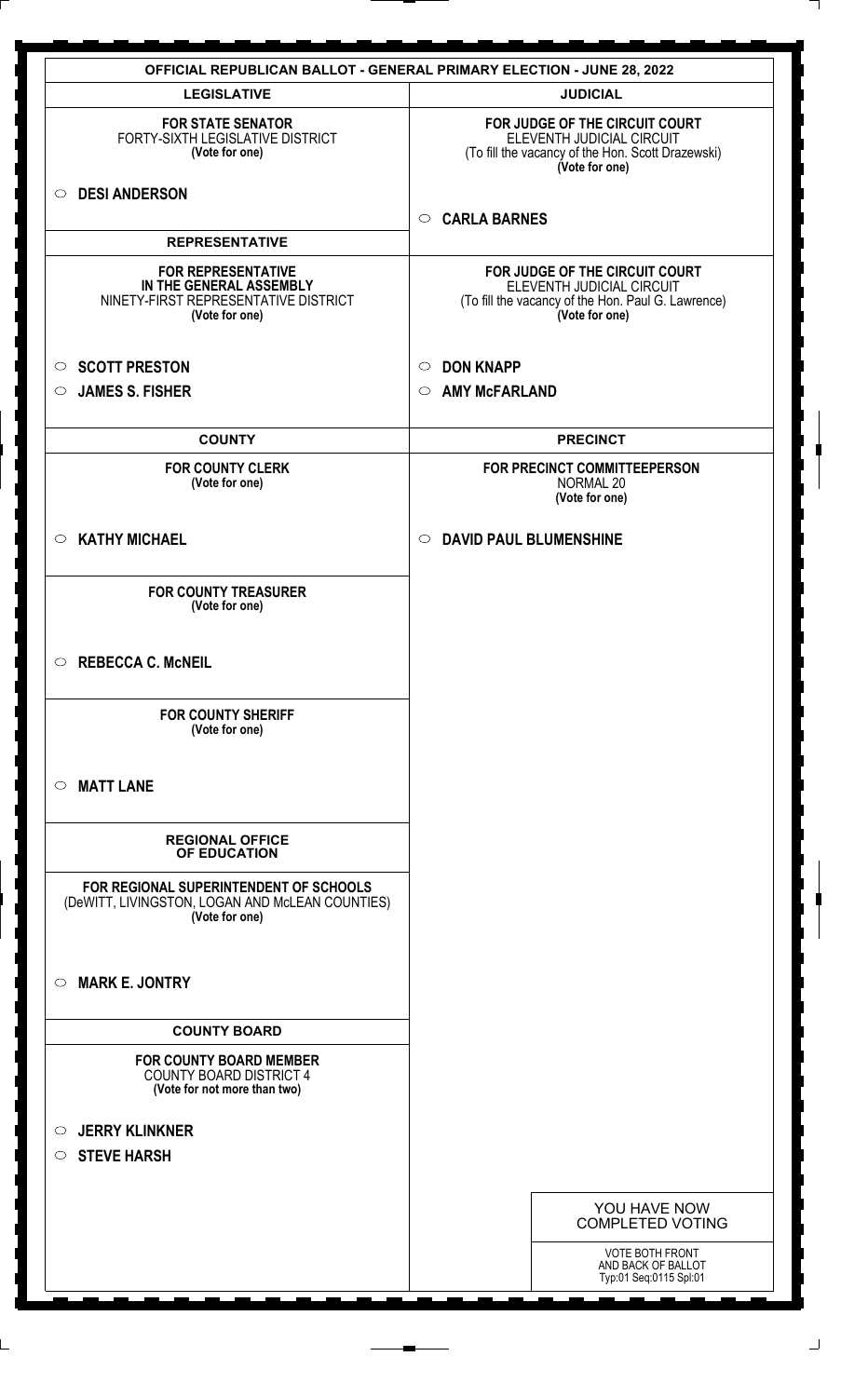|                                                                                                                | <b>OFFICIAL REPUBLICAN BALLOT - GENERAL PRIMARY ELECTION - JUNE 28, 2022</b>                                                        |
|----------------------------------------------------------------------------------------------------------------|-------------------------------------------------------------------------------------------------------------------------------------|
| <b>LEGISLATIVE</b>                                                                                             | <b>JUDICIAL</b>                                                                                                                     |
| <b>FOR STATE SENATOR</b><br>FORTY-SIXTH LEGISLATIVE DISTRICT<br>(Vote for one)                                 | FOR JUDGE OF THE CIRCUIT COURT<br>ELEVENTH JUDICIAL CIRCUIT<br>(To fill the vacancy of the Hon. Scott Drazewski)<br>(Vote for one)  |
| <b>DESI ANDERSON</b><br>$\circ$                                                                                | <b>CARLA BARNES</b><br>$\circ$                                                                                                      |
| <b>REPRESENTATIVE</b>                                                                                          |                                                                                                                                     |
| <b>FOR REPRESENTATIVE</b><br>IN THE GENERAL ASSEMBLY<br>NINETY-FIRST REPRESENTATIVE DISTRICT<br>(Vote for one) | FOR JUDGE OF THE CIRCUIT COURT<br>ELEVENTH JUDICIAL CIRCUIT<br>(To fill the vacancy of the Hon. Paul G. Lawrence)<br>(Vote for one) |
| <b>SCOTT PRESTON</b><br>$\circ$                                                                                | <b>DON KNAPP</b><br>$\circ$                                                                                                         |
| <b>JAMES S. FISHER</b><br>$\circ$                                                                              | <b>AMY McFARLAND</b><br>$\circ$                                                                                                     |
|                                                                                                                |                                                                                                                                     |
| <b>COUNTY</b>                                                                                                  | <b>PRECINCT</b>                                                                                                                     |
| <b>FOR COUNTY CLERK</b><br>(Vote for one)                                                                      | FOR PRECINCT COMMITTEEPERSON<br>NORMAL 20<br>(Vote for one)                                                                         |
| <b>KATHY MICHAEL</b><br>$\circ$                                                                                | <b>DAVID PAUL BLUMENSHINE</b><br>$\circ$                                                                                            |
| <b>FOR COUNTY TREASURER</b><br>(Vote for one)                                                                  |                                                                                                                                     |
| $\circ$<br><b>REBECCA C. McNEIL</b>                                                                            |                                                                                                                                     |
| <b>FOR COUNTY SHERIFF</b><br>(Vote for one)                                                                    |                                                                                                                                     |
| <b>MATT LANE</b><br>$\circ$                                                                                    |                                                                                                                                     |
| <b>REGIONAL OFFICE</b><br>OF EDUCATION                                                                         |                                                                                                                                     |
| FOR REGIONAL SUPERINTENDENT OF SCHOOLS<br>(DeWITT, LIVINGSTON, LOGAN AND McLEAN COUNTIES)<br>(Vote for one)    |                                                                                                                                     |
| <b>MARK E. JONTRY</b><br>$\circ$                                                                               |                                                                                                                                     |
| <b>COUNTY BOARD</b>                                                                                            |                                                                                                                                     |
| <b>FOR COUNTY BOARD MEMBER</b><br><b>COUNTY BOARD DISTRICT 4</b><br>(Vote for not more than two)               |                                                                                                                                     |
| <b>JERRY KLINKNER</b><br>$\circ$                                                                               |                                                                                                                                     |
| <b>STEVE HARSH</b><br>$\circ$                                                                                  |                                                                                                                                     |
|                                                                                                                |                                                                                                                                     |
|                                                                                                                | YOU HAVE NOW<br><b>COMPLETED VOTING</b>                                                                                             |
|                                                                                                                | <b>VOTE BOTH FRONT</b><br>AND BACK OF BALLOT<br>Typ:01 Seq:0115 Spl:01                                                              |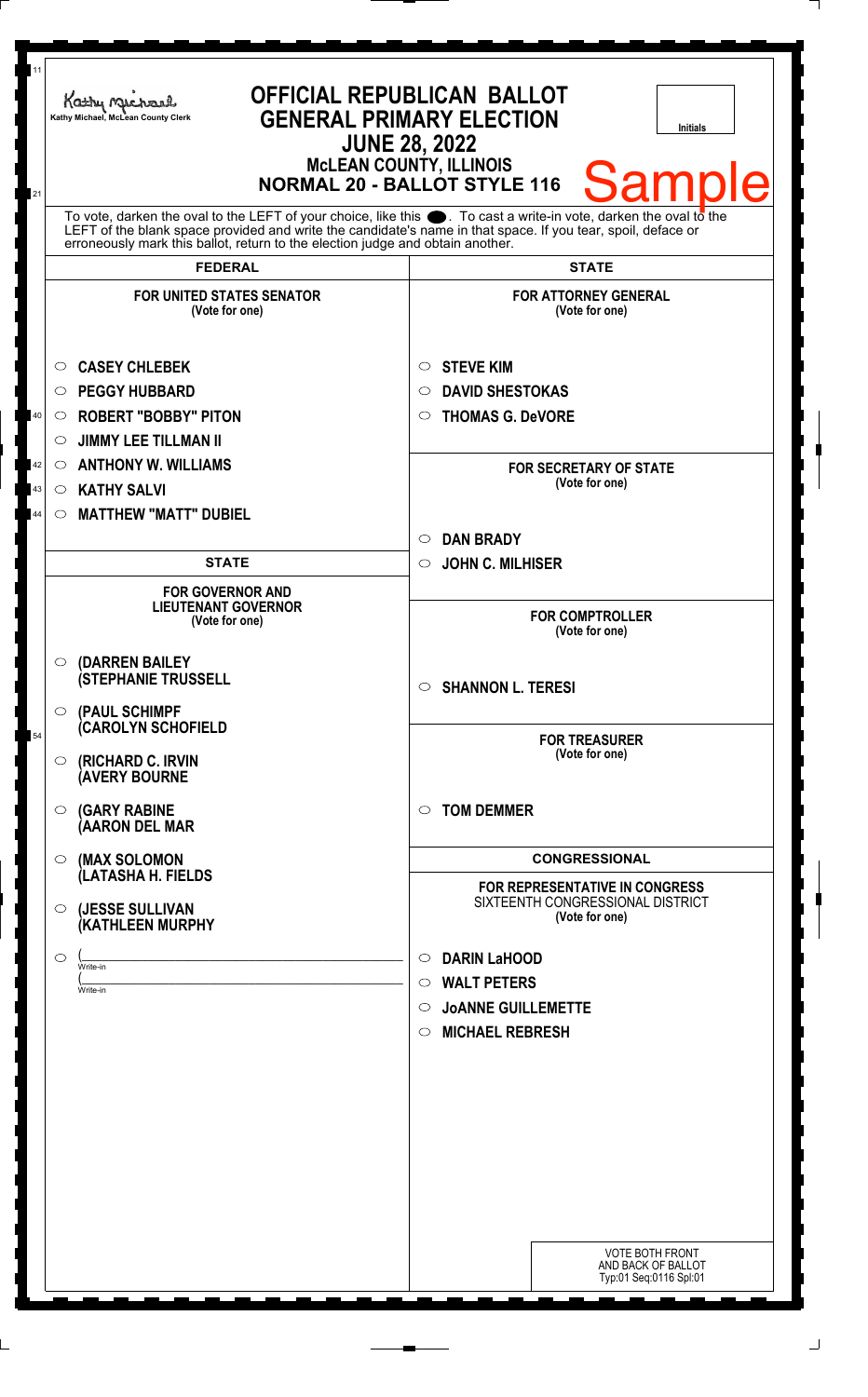| 11<br>21 | Kathy Michael<br>Kathy Michael, McLean County Clerk                                                                                                                                                                                                                                                                          | <b>OFFICIAL REPUBLICAN BALLOT</b><br><b>GENERAL PRIMARY ELECTION</b><br><b>Initials</b><br><b>JUNE 28, 2022</b><br><b>McLEAN COUNTY, ILLINOIS</b><br><b>Sample</b><br><b>NORMAL 20 - BALLOT STYLE 116</b> |
|----------|------------------------------------------------------------------------------------------------------------------------------------------------------------------------------------------------------------------------------------------------------------------------------------------------------------------------------|-----------------------------------------------------------------------------------------------------------------------------------------------------------------------------------------------------------|
|          | To vote, darken the oval to the LEFT of your choice, like this $\bullet$ . To cast a write-in vote, darken the oval to the<br>LEFT of the blank space provided and write the candidate's name in that space. If you tear, spoil, deface or<br>erroneously mark this ballot, return to the election judge and obtain another. |                                                                                                                                                                                                           |
|          | <b>FEDERAL</b>                                                                                                                                                                                                                                                                                                               | <b>STATE</b>                                                                                                                                                                                              |
|          | <b>FOR UNITED STATES SENATOR</b><br>(Vote for one)                                                                                                                                                                                                                                                                           | <b>FOR ATTORNEY GENERAL</b><br>(Vote for one)                                                                                                                                                             |
|          | <b>CASEY CHLEBEK</b><br>O                                                                                                                                                                                                                                                                                                    | <b>STEVE KIM</b><br>$\circ$                                                                                                                                                                               |
|          | <b>PEGGY HUBBARD</b><br>O                                                                                                                                                                                                                                                                                                    | <b>DAVID SHESTOKAS</b><br>O                                                                                                                                                                               |
| 40       | <b>ROBERT "BOBBY" PITON</b><br>O                                                                                                                                                                                                                                                                                             | <b>THOMAS G. DeVORE</b><br>$\circ$                                                                                                                                                                        |
|          | <b>JIMMY LEE TILLMAN II</b><br>O                                                                                                                                                                                                                                                                                             |                                                                                                                                                                                                           |
| 42       | <b>ANTHONY W. WILLIAMS</b><br>$\circ$                                                                                                                                                                                                                                                                                        | <b>FOR SECRETARY OF STATE</b>                                                                                                                                                                             |
| 43       | <b>KATHY SALVI</b><br>$\circ$                                                                                                                                                                                                                                                                                                | (Vote for one)                                                                                                                                                                                            |
| 44       | <b>MATTHEW "MATT" DUBIEL</b><br>$\circ$                                                                                                                                                                                                                                                                                      |                                                                                                                                                                                                           |
|          |                                                                                                                                                                                                                                                                                                                              | <b>DAN BRADY</b><br>$\circ$                                                                                                                                                                               |
|          | <b>STATE</b>                                                                                                                                                                                                                                                                                                                 | <b>JOHN C. MILHISER</b><br>$\circ$                                                                                                                                                                        |
|          | <b>FOR GOVERNOR AND</b><br><b>LIEUTENANT GOVERNOR</b><br>(Vote for one)                                                                                                                                                                                                                                                      | <b>FOR COMPTROLLER</b><br>(Vote for one)                                                                                                                                                                  |
|          | (DARREN BAILEY<br>$\circ$<br><b>(STEPHANIE TRUSSELL</b><br>$\circ$ (PAUL SCHIMPF                                                                                                                                                                                                                                             | <b>SHANNON L. TERESI</b><br>$\circ$                                                                                                                                                                       |
| 54       | <b>(CAROLYN SCHOFIELD</b><br><b>(RICHARD C. IRVIN</b><br>$\circ$<br><b>(AVERY BOURNE</b>                                                                                                                                                                                                                                     | <b>FOR TREASURER</b><br>(Vote for one)                                                                                                                                                                    |
|          | <b>(GARY RABINE</b><br>$\circ$<br>(AARON DEL MAR                                                                                                                                                                                                                                                                             | <b>TOM DEMMER</b><br>$\circ$                                                                                                                                                                              |
|          | (MAX SOLOMON<br>O                                                                                                                                                                                                                                                                                                            | <b>CONGRESSIONAL</b>                                                                                                                                                                                      |
|          | (LATASHA H. FIELDS                                                                                                                                                                                                                                                                                                           | <b>FOR REPRESENTATIVE IN CONGRESS</b>                                                                                                                                                                     |
|          | (JESSE SULLIVAN<br>O<br>(KATHLEEN MURPHY                                                                                                                                                                                                                                                                                     | SIXTEENTH CONGRESSIONAL DISTRICT<br>(Vote for one)                                                                                                                                                        |
|          | O<br>Write-in                                                                                                                                                                                                                                                                                                                | <b>DARIN LaHOOD</b><br>$\circ$                                                                                                                                                                            |
|          | Write-in                                                                                                                                                                                                                                                                                                                     | <b>WALT PETERS</b><br>$\circ$                                                                                                                                                                             |
|          |                                                                                                                                                                                                                                                                                                                              | <b>JOANNE GUILLEMETTE</b><br>O                                                                                                                                                                            |
|          |                                                                                                                                                                                                                                                                                                                              | <b>MICHAEL REBRESH</b><br>$\circ$                                                                                                                                                                         |
|          |                                                                                                                                                                                                                                                                                                                              |                                                                                                                                                                                                           |
|          |                                                                                                                                                                                                                                                                                                                              |                                                                                                                                                                                                           |
|          |                                                                                                                                                                                                                                                                                                                              |                                                                                                                                                                                                           |
|          |                                                                                                                                                                                                                                                                                                                              |                                                                                                                                                                                                           |
|          |                                                                                                                                                                                                                                                                                                                              |                                                                                                                                                                                                           |
|          |                                                                                                                                                                                                                                                                                                                              |                                                                                                                                                                                                           |
|          |                                                                                                                                                                                                                                                                                                                              |                                                                                                                                                                                                           |
|          |                                                                                                                                                                                                                                                                                                                              |                                                                                                                                                                                                           |
|          |                                                                                                                                                                                                                                                                                                                              | <b>VOTE BOTH FRONT</b><br>AND BACK OF BALLOT<br>Typ:01 Seq:0116 Spl:01                                                                                                                                    |

 $\perp$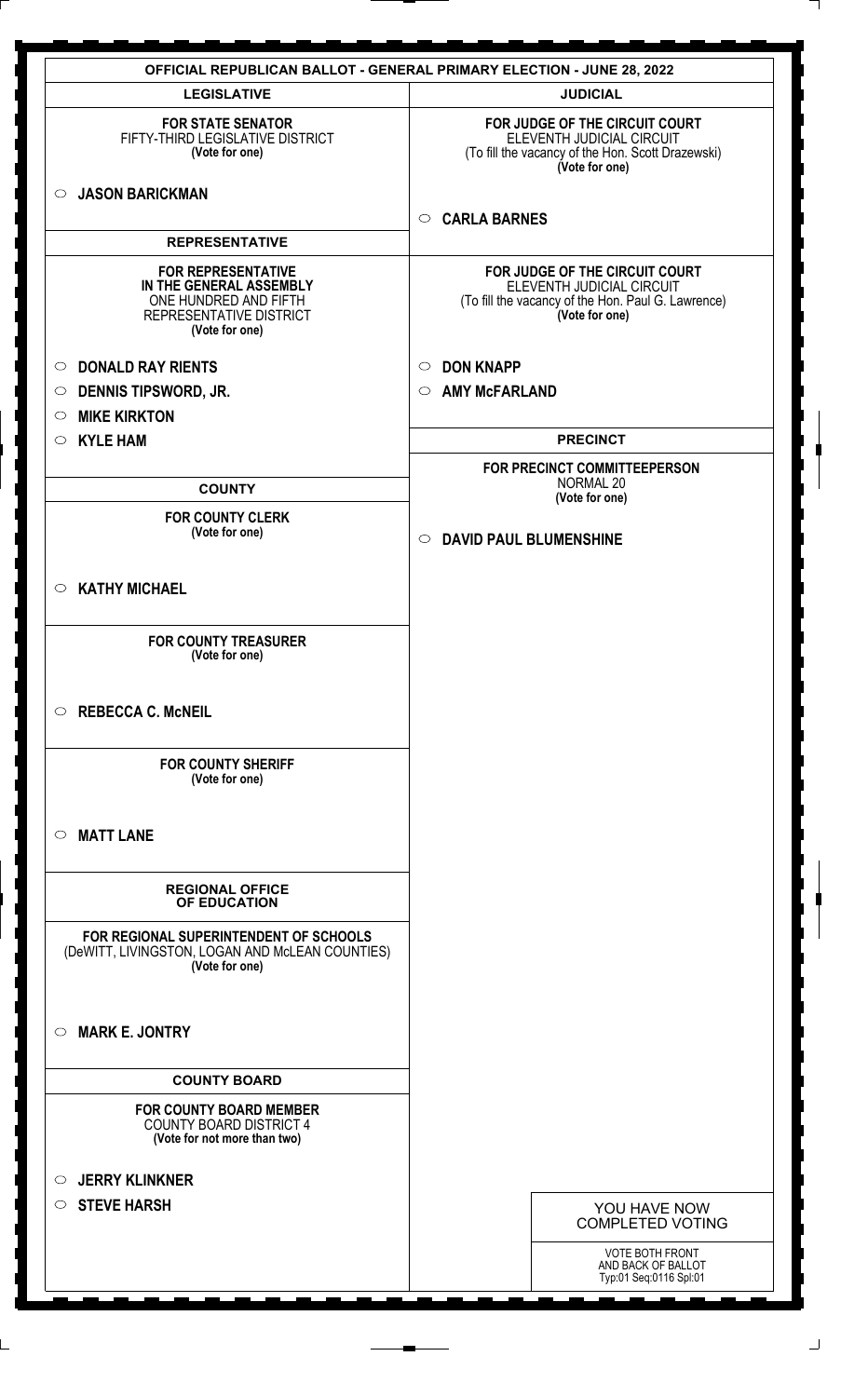|                                                                                                                            | <b>OFFICIAL REPUBLICAN BALLOT - GENERAL PRIMARY ELECTION - JUNE 28, 2022</b>                                                        |
|----------------------------------------------------------------------------------------------------------------------------|-------------------------------------------------------------------------------------------------------------------------------------|
| <b>LEGISLATIVE</b>                                                                                                         | <b>JUDICIAL</b>                                                                                                                     |
| <b>FOR STATE SENATOR</b><br>FIFTY-THIRD LEGISLATIVE DISTRICT<br>(Vote for one)                                             | FOR JUDGE OF THE CIRCUIT COURT<br>ELEVENTH JUDICIAL CIRCUIT<br>(To fill the vacancy of the Hon. Scott Drazewski)<br>(Vote for one)  |
| <b>JASON BARICKMAN</b><br>$\circ$                                                                                          | <b>CARLA BARNES</b><br>$\circ$                                                                                                      |
| <b>REPRESENTATIVE</b>                                                                                                      |                                                                                                                                     |
| <b>FOR REPRESENTATIVE</b><br>IN THE GENERAL ASSEMBLY<br>ONE HUNDRED AND FIFTH<br>REPRESENTATIVE DISTRICT<br>(Vote for one) | FOR JUDGE OF THE CIRCUIT COURT<br>ELEVENTH JUDICIAL CIRCUIT<br>(To fill the vacancy of the Hon. Paul G. Lawrence)<br>(Vote for one) |
| <b>DONALD RAY RIENTS</b><br>$\circ$                                                                                        | <b>DON KNAPP</b><br>$\circ$                                                                                                         |
| <b>DENNIS TIPSWORD, JR.</b><br>$\circ$                                                                                     | <b>AMY McFARLAND</b><br>$\circ$                                                                                                     |
| <b>MIKE KIRKTON</b><br>$\circ$                                                                                             |                                                                                                                                     |
| <b>KYLE HAM</b><br>$\circ$                                                                                                 | <b>PRECINCT</b>                                                                                                                     |
|                                                                                                                            | FOR PRECINCT COMMITTEEPERSON                                                                                                        |
| <b>COUNTY</b>                                                                                                              | NORMAL 20<br>(Vote for one)                                                                                                         |
| <b>FOR COUNTY CLERK</b>                                                                                                    |                                                                                                                                     |
| (Vote for one)                                                                                                             | <b>DAVID PAUL BLUMENSHINE</b><br>$\circ$                                                                                            |
| <b>KATHY MICHAEL</b><br>$\circ$                                                                                            |                                                                                                                                     |
| <b>FOR COUNTY TREASURER</b><br>(Vote for one)                                                                              |                                                                                                                                     |
| <b>REBECCA C. McNEIL</b><br>$\circ$                                                                                        |                                                                                                                                     |
| <b>FOR COUNTY SHERIFF</b><br>(Vote for one)                                                                                |                                                                                                                                     |
| <b>MATT LANE</b><br>$\circ$                                                                                                |                                                                                                                                     |
| <b>REGIONAL OFFICE</b><br>OF EDUCATION                                                                                     |                                                                                                                                     |
| FOR REGIONAL SUPERINTENDENT OF SCHOOLS<br>(DeWITT, LIVINGSTON, LOGAN AND McLEAN COUNTIES)<br>(Vote for one)                |                                                                                                                                     |
| <b>MARK E. JONTRY</b><br>$\circ$                                                                                           |                                                                                                                                     |
| <b>COUNTY BOARD</b>                                                                                                        |                                                                                                                                     |
| <b>FOR COUNTY BOARD MEMBER</b><br><b>COUNTY BOARD DISTRICT 4</b><br>(Vote for not more than two)                           |                                                                                                                                     |
| <b>JERRY KLINKNER</b><br>$\circ$                                                                                           |                                                                                                                                     |
| <b>STEVE HARSH</b><br>$\circ$                                                                                              |                                                                                                                                     |
|                                                                                                                            | YOU HAVE NOW<br><b>COMPLETED VOTING</b>                                                                                             |
|                                                                                                                            | <b>VOTE BOTH FRONT</b><br>AND BACK OF BALLOT<br>Typ:01 Seq:0116 Spl:01                                                              |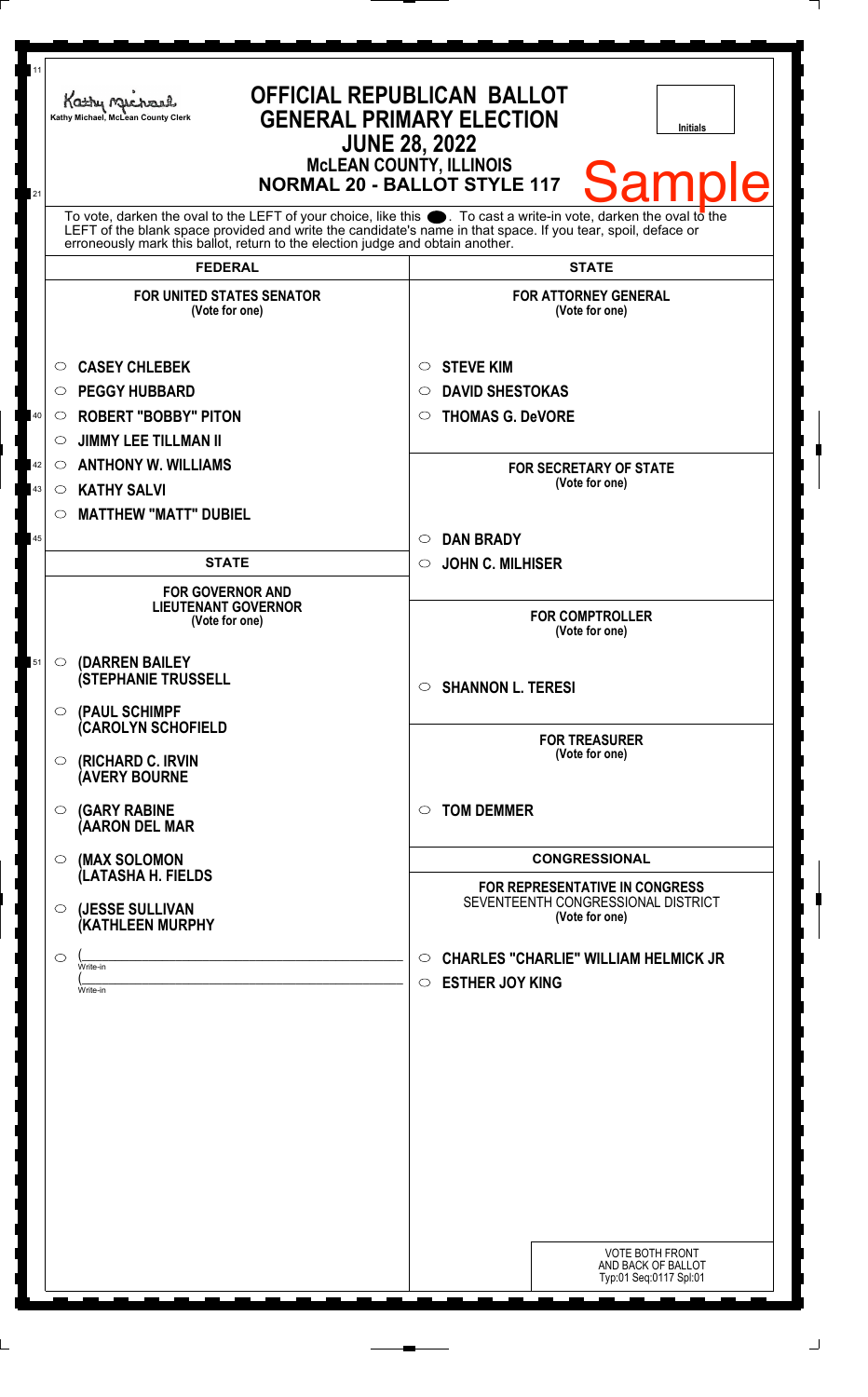| 11<br>21 | Kathy Michael<br>Kathy Michael, McLean County Clerk                                                                                                                                                                                                                                                                          | <b>OFFICIAL REPUBLICAN BALLOT</b><br><b>GENERAL PRIMARY ELECTION</b><br><b>Initials</b><br><b>JUNE 28, 2022</b><br><b>MCLEAN COUNTY, ILLINOIS</b><br><b>Sample</b><br><b>NORMAL 20 - BALLOT STYLE 117</b> |
|----------|------------------------------------------------------------------------------------------------------------------------------------------------------------------------------------------------------------------------------------------------------------------------------------------------------------------------------|-----------------------------------------------------------------------------------------------------------------------------------------------------------------------------------------------------------|
|          | To vote, darken the oval to the LEFT of your choice, like this $\bullet$ . To cast a write-in vote, darken the oval to the<br>LEFT of the blank space provided and write the candidate's name in that space. If you tear, spoil, deface or<br>erroneously mark this ballot, return to the election judge and obtain another. |                                                                                                                                                                                                           |
|          | <b>FEDERAL</b>                                                                                                                                                                                                                                                                                                               | <b>STATE</b>                                                                                                                                                                                              |
|          | <b>FOR UNITED STATES SENATOR</b><br>(Vote for one)                                                                                                                                                                                                                                                                           | <b>FOR ATTORNEY GENERAL</b><br>(Vote for one)                                                                                                                                                             |
|          | <b>CASEY CHLEBEK</b><br>$\circ$                                                                                                                                                                                                                                                                                              | <b>STEVE KIM</b><br>$\circ$                                                                                                                                                                               |
|          | <b>PEGGY HUBBARD</b><br>$\circ$                                                                                                                                                                                                                                                                                              | <b>DAVID SHESTOKAS</b><br>◯                                                                                                                                                                               |
| $40\,$   | <b>ROBERT "BOBBY" PITON</b><br>$\circ$                                                                                                                                                                                                                                                                                       | <b>THOMAS G. DeVORE</b><br>◯                                                                                                                                                                              |
|          | <b>JIMMY LEE TILLMAN II</b><br>$\circ$                                                                                                                                                                                                                                                                                       |                                                                                                                                                                                                           |
| 42       | <b>ANTHONY W. WILLIAMS</b><br>$\circ$                                                                                                                                                                                                                                                                                        | <b>FOR SECRETARY OF STATE</b>                                                                                                                                                                             |
| $\bf 43$ | <b>KATHY SALVI</b><br>$\circ$                                                                                                                                                                                                                                                                                                | (Vote for one)                                                                                                                                                                                            |
|          | <b>MATTHEW "MATT" DUBIEL</b><br>$\circ$                                                                                                                                                                                                                                                                                      |                                                                                                                                                                                                           |
| 45       |                                                                                                                                                                                                                                                                                                                              | <b>DAN BRADY</b><br>$\circ$                                                                                                                                                                               |
|          | <b>STATE</b>                                                                                                                                                                                                                                                                                                                 | <b>JOHN C. MILHISER</b><br>$\circ$                                                                                                                                                                        |
|          | <b>FOR GOVERNOR AND</b><br><b>LIEUTENANT GOVERNOR</b><br>(Vote for one)                                                                                                                                                                                                                                                      | <b>FOR COMPTROLLER</b><br>(Vote for one)                                                                                                                                                                  |
| 51       | (DARREN BAILEY<br>$\circ$<br><b>(STEPHANIE TRUSSELL</b><br>(PAUL SCHIMPF<br>$\circ$                                                                                                                                                                                                                                          | <b>SHANNON L. TERESI</b><br>$\circ$                                                                                                                                                                       |
|          | <b>CAROLYN SCHOFIELD</b><br>(RICHARD C. IRVIN<br>$\circ$<br><b>AVERY BOURNE</b>                                                                                                                                                                                                                                              | <b>FOR TREASURER</b><br>(Vote for one)                                                                                                                                                                    |
|          | <b>(GARY RABINE</b><br>$\circ$<br>(AARON DEL MAR                                                                                                                                                                                                                                                                             | <b>TOM DEMMER</b><br>$\bigcirc$                                                                                                                                                                           |
|          | (MAX SOLOMON<br>$\bigcirc$                                                                                                                                                                                                                                                                                                   | <b>CONGRESSIONAL</b>                                                                                                                                                                                      |
|          | (LATASHA H. FIELDS<br>(JESSE SULLIVAN<br>$\circ$<br>(KATHLEEN MURPHY                                                                                                                                                                                                                                                         | <b>FOR REPRESENTATIVE IN CONGRESS</b><br>SEVENTEENTH CONGRESSIONAL DISTRICT<br>(Vote for one)                                                                                                             |
|          | $\circ$<br>Write-in<br>Write-in                                                                                                                                                                                                                                                                                              | <b>CHARLES "CHARLIE" WILLIAM HELMICK JR</b><br>$\circ$<br><b>ESTHER JOY KING</b><br>$\circ$                                                                                                               |
|          |                                                                                                                                                                                                                                                                                                                              | <b>VOTE BOTH FRONT</b><br>AND BACK OF BALLOT<br>Typ:01 Seq:0117 Spl:01                                                                                                                                    |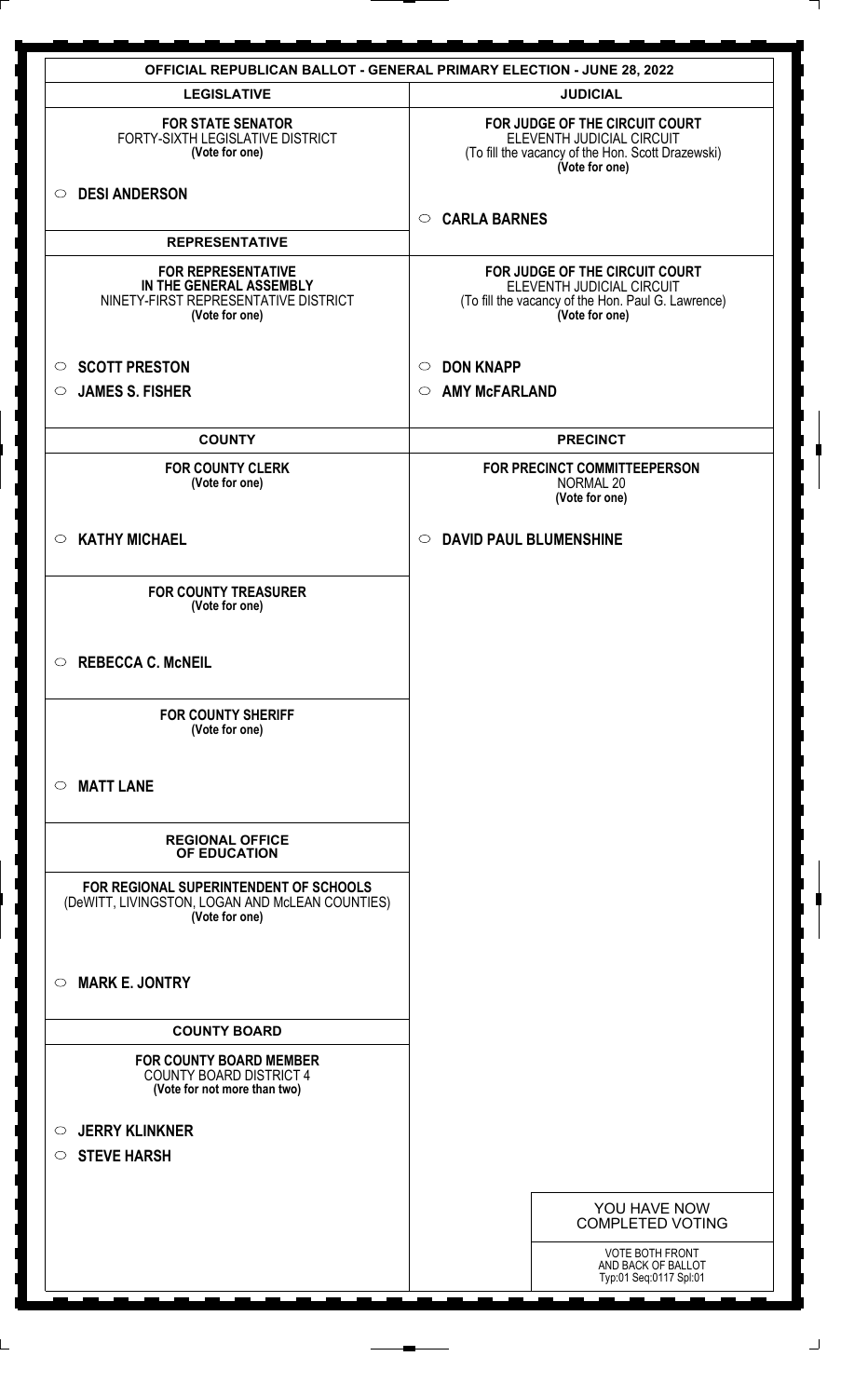|                                                                                                                | <b>OFFICIAL REPUBLICAN BALLOT - GENERAL PRIMARY ELECTION - JUNE 28, 2022</b>                                                        |
|----------------------------------------------------------------------------------------------------------------|-------------------------------------------------------------------------------------------------------------------------------------|
| <b>LEGISLATIVE</b>                                                                                             | <b>JUDICIAL</b>                                                                                                                     |
| <b>FOR STATE SENATOR</b><br>FORTY-SIXTH LEGISLATIVE DISTRICT<br>(Vote for one)                                 | FOR JUDGE OF THE CIRCUIT COURT<br>ELEVENTH JUDICIAL CIRCUIT<br>(To fill the vacancy of the Hon. Scott Drazewski)<br>(Vote for one)  |
| <b>DESI ANDERSON</b><br>$\circ$                                                                                | <b>CARLA BARNES</b><br>$\circ$                                                                                                      |
| <b>REPRESENTATIVE</b>                                                                                          |                                                                                                                                     |
| <b>FOR REPRESENTATIVE</b><br>IN THE GENERAL ASSEMBLY<br>NINETY-FIRST REPRESENTATIVE DISTRICT<br>(Vote for one) | FOR JUDGE OF THE CIRCUIT COURT<br>ELEVENTH JUDICIAL CIRCUIT<br>(To fill the vacancy of the Hon. Paul G. Lawrence)<br>(Vote for one) |
| <b>SCOTT PRESTON</b><br>$\circ$                                                                                | <b>DON KNAPP</b><br>$\circ$                                                                                                         |
| <b>JAMES S. FISHER</b><br>$\circ$                                                                              | <b>AMY McFARLAND</b><br>$\circ$                                                                                                     |
|                                                                                                                |                                                                                                                                     |
| <b>COUNTY</b>                                                                                                  | <b>PRECINCT</b>                                                                                                                     |
| <b>FOR COUNTY CLERK</b><br>(Vote for one)                                                                      | FOR PRECINCT COMMITTEEPERSON<br>NORMAL 20<br>(Vote for one)                                                                         |
| <b>KATHY MICHAEL</b><br>$\circ$                                                                                | <b>DAVID PAUL BLUMENSHINE</b><br>$\circ$                                                                                            |
| <b>FOR COUNTY TREASURER</b><br>(Vote for one)                                                                  |                                                                                                                                     |
| <b>REBECCA C. McNEIL</b><br>$\circ$                                                                            |                                                                                                                                     |
| <b>FOR COUNTY SHERIFF</b><br>(Vote for one)                                                                    |                                                                                                                                     |
| <b>MATT LANE</b><br>$\circ$                                                                                    |                                                                                                                                     |
| <b>REGIONAL OFFICE</b><br>OF EDUCATION                                                                         |                                                                                                                                     |
| FOR REGIONAL SUPERINTENDENT OF SCHOOLS<br>(DeWITT, LIVINGSTON, LOGAN AND McLEAN COUNTIES)<br>(Vote for one)    |                                                                                                                                     |
| <b>MARK E. JONTRY</b><br>$\circ$                                                                               |                                                                                                                                     |
| <b>COUNTY BOARD</b>                                                                                            |                                                                                                                                     |
| <b>FOR COUNTY BOARD MEMBER</b><br><b>COUNTY BOARD DISTRICT 4</b><br>(Vote for not more than two)               |                                                                                                                                     |
| <b>JERRY KLINKNER</b><br>$\circ$                                                                               |                                                                                                                                     |
| <b>STEVE HARSH</b><br>$\circ$                                                                                  |                                                                                                                                     |
|                                                                                                                |                                                                                                                                     |
|                                                                                                                | YOU HAVE NOW<br><b>COMPLETED VOTING</b>                                                                                             |
|                                                                                                                | <b>VOTE BOTH FRONT</b><br>AND BACK OF BALLOT<br>Typ:01 Seq:0117 Spl:01                                                              |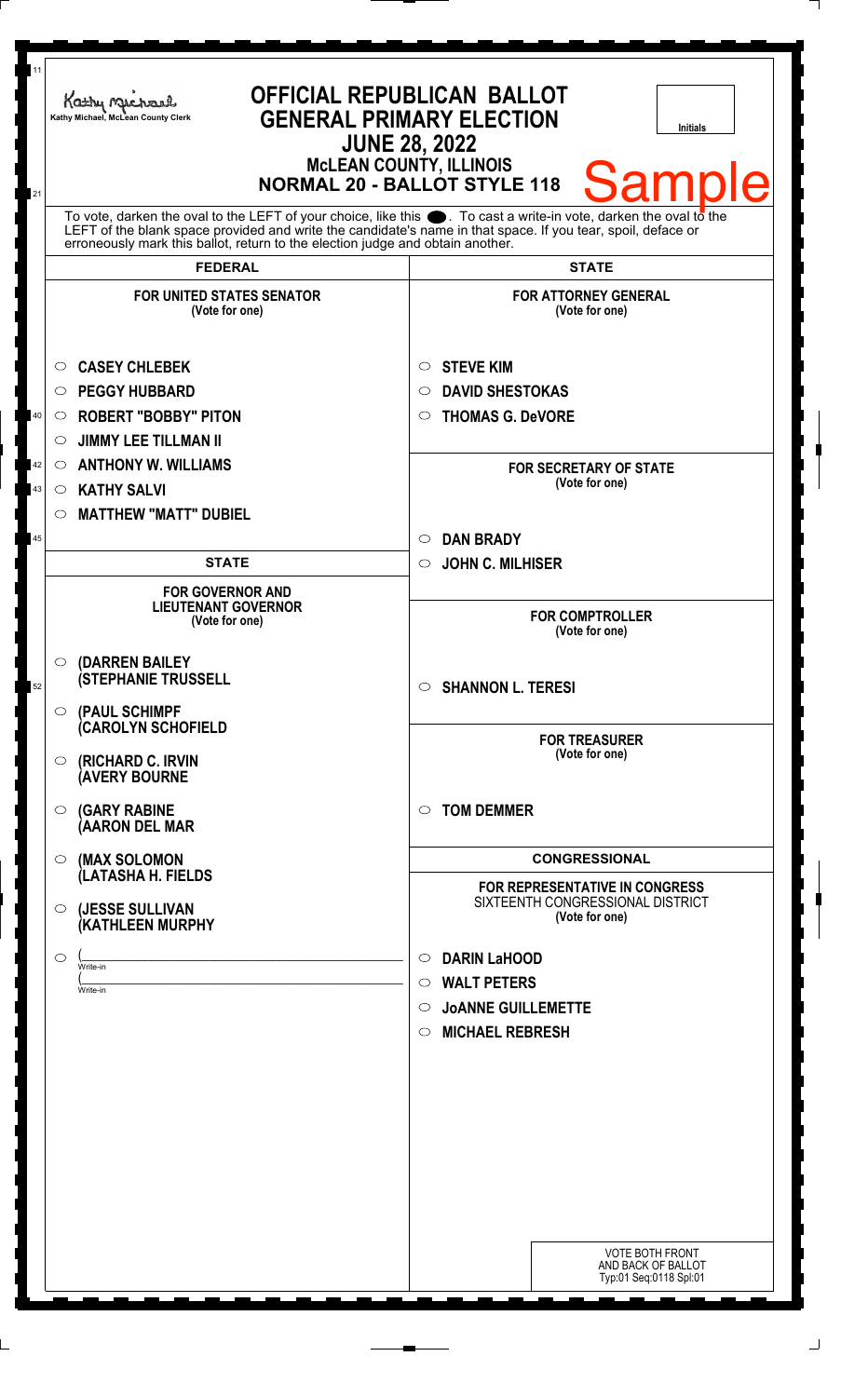| 11             | Kathy Michael<br>Kathy Michael, McLean County Clerk                                                                                                                                                                  | <b>OFFICIAL REPUBLICAN BALLOT</b><br><b>GENERAL PRIMARY ELECTION</b><br><b>Initials</b><br><b>JUNE 28, 2022</b><br><b>MCLEAN COUNTY, ILLINOIS</b>   |
|----------------|----------------------------------------------------------------------------------------------------------------------------------------------------------------------------------------------------------------------|-----------------------------------------------------------------------------------------------------------------------------------------------------|
| 21             | To vote, darken the oval to the LEFT of your choice, like this $\bullet$ . To cast a write-in vote, darken the oval to the                                                                                           | <b>Samp</b><br>Ie<br><b>NORMAL 20 - BALLOT STYLE 118</b>                                                                                            |
|                | LEFT of the blank space provided and write the candidate's name in that space. If you tear, spoil, deface or<br>erroneously mark this ballot, return to the election judge and obtain another.<br><b>FEDERAL</b>     | <b>STATE</b>                                                                                                                                        |
|                | <b>FOR UNITED STATES SENATOR</b><br>(Vote for one)                                                                                                                                                                   | <b>FOR ATTORNEY GENERAL</b><br>(Vote for one)                                                                                                       |
| 40<br>42<br>43 | <b>CASEY CHLEBEK</b><br>$\circ$<br><b>PEGGY HUBBARD</b><br>O<br><b>ROBERT "BOBBY" PITON</b><br>$\circ$<br><b>JIMMY LEE TILLMAN II</b><br>O<br><b>ANTHONY W. WILLIAMS</b><br>$\circ$<br><b>KATHY SALVI</b><br>$\circ$ | <b>STEVE KIM</b><br>$\circ$<br><b>DAVID SHESTOKAS</b><br>◯<br><b>THOMAS G. DeVORE</b><br>$\circ$<br><b>FOR SECRETARY OF STATE</b><br>(Vote for one) |
| 45             | <b>MATTHEW "MATT" DUBIEL</b><br>$\circ$                                                                                                                                                                              | <b>DAN BRADY</b><br>$\circ$                                                                                                                         |
|                | <b>STATE</b><br><b>FOR GOVERNOR AND</b><br><b>LIEUTENANT GOVERNOR</b><br>(Vote for one)                                                                                                                              | <b>JOHN C. MILHISER</b><br>$\circ$<br><b>FOR COMPTROLLER</b><br>(Vote for one)                                                                      |
| 52             | (DARREN BAILEY<br>$\circ$<br><b>(STEPHANIE TRUSSELL</b><br>$\circ$ (PAUL SCHIMPF                                                                                                                                     | <b>SHANNON L. TERESI</b><br>$\circ$                                                                                                                 |
|                | (CAROLYN SCHOFIELD<br>(RICHARD C. IRVIN<br>O<br><b>(AVERY BOURNE</b>                                                                                                                                                 | <b>FOR TREASURER</b><br>(Vote for one)                                                                                                              |
|                | <b>(GARY RABINE</b><br>$\circ$<br>(AARON DEL MAR                                                                                                                                                                     | <b>TOM DEMMER</b><br>$\circ$                                                                                                                        |
|                | (MAX SOLOMON<br>$\circ$<br>(LATASHA H. FIELDS                                                                                                                                                                        | <b>CONGRESSIONAL</b>                                                                                                                                |
|                | (JESSE SULLIVAN<br>$\circ$<br>(KATHLEEN MURPHY                                                                                                                                                                       | FOR REPRESENTATIVE IN CONGRESS<br>SIXTEENTH CONGRESSIONAL DISTRICT<br>(Vote for one)                                                                |
|                | ◯<br>Write-in<br>Write-in                                                                                                                                                                                            | <b>DARIN LaHOOD</b><br>$\circ$<br><b>WALT PETERS</b><br>$\circ$<br><b>JOANNE GUILLEMETTE</b><br>$\circ$<br><b>MICHAEL REBRESH</b><br>$\circ$        |
|                |                                                                                                                                                                                                                      | <b>VOTE BOTH FRONT</b><br>AND BACK OF BALLOT<br>Typ:01 Seq:0118 Spl:01                                                                              |